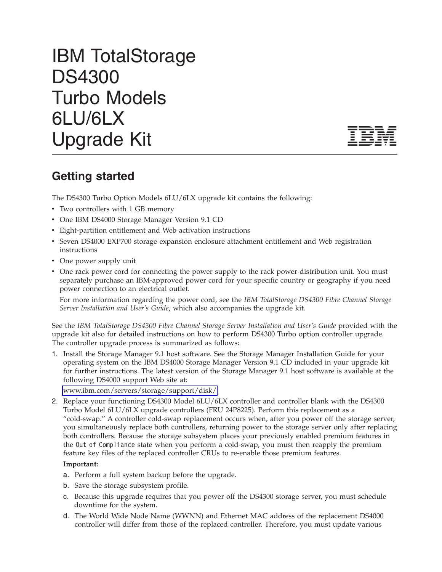## IBM TotalStorage DS4300 Turbo Models 6LU/6LX Upgrade Kit



## **Getting started**

The DS4300 Turbo Option Models 6LU/6LX upgrade kit contains the following:

- Two controllers with 1 GB memory
- One IBM DS4000 Storage Manager Version 9.1 CD
- v Eight-partition entitlement and Web activation instructions
- Seven DS4000 EXP700 storage expansion enclosure attachment entitlement and Web registration instructions
- One power supply unit
- v One rack power cord for connecting the power supply to the rack power distribution unit. You must separately purchase an IBM-approved power cord for your specific country or geography if you need power connection to an electrical outlet.

For more information regarding the power cord, see the *IBM TotalStorage DS4300 Fibre Channel Storage Server Installation and User's Guide*, which also accompanies the upgrade kit.

See the *IBM TotalStorage DS4300 Fibre Channel Storage Server Installation and User's Guide* provided with the upgrade kit also for detailed instructions on how to perform DS4300 Turbo option controller upgrade. The controller upgrade process is summarized as follows:

1. Install the Storage Manager 9.1 host software. See the Storage Manager Installation Guide for your operating system on the IBM DS4000 Storage Manager Version 9.1 CD included in your upgrade kit for further instructions. The latest version of the Storage Manager 9.1 host software is available at the following DS4000 support Web site at:

[www.ibm.com/servers/storage/support/disk/](http://www.ibm.com/servers/storage/support/disk/)

2. Replace your functioning DS4300 Model 6LU/6LX controller and controller blank with the DS4300 Turbo Model 6LU/6LX upgrade controllers (FRU 24P8225). Perform this replacement as a "cold-swap." A controller cold-swap replacement occurs when, after you power off the storage server, you simultaneously replace both controllers, returning power to the storage server only after replacing both controllers. Because the storage subsystem places your previously enabled premium features in the Out of Compliance state when you perform a cold-swap, you must then reapply the premium feature key files of the replaced controller CRUs to re-enable those premium features.

## **Important:**

- a. Perform a full system backup before the upgrade.
- b. Save the storage subsystem profile.
- c. Because this upgrade requires that you power off the DS4300 storage server, you must schedule downtime for the system.
- d. The World Wide Node Name (WWNN) and Ethernet MAC address of the replacement DS4000 controller will differ from those of the replaced controller. Therefore, you must update various